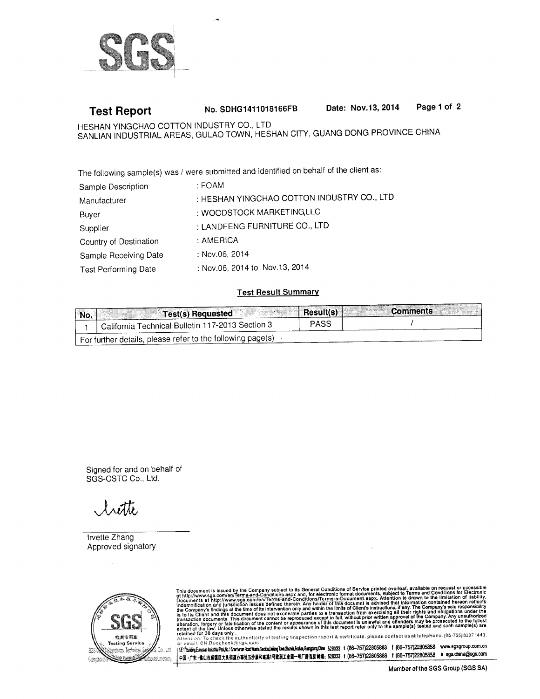

#### Page 1 of 2 Date: Nov.13, 2014 No. SDHG1411018166FB **Test Report**

HESHAN YINGCHAO COTTON INDUSTRY CO., LTD SANLIAN INDUSTRIAL AREAS, GULAO TOWN, HESHAN CITY, GUANG DONG PROVINCE CHINA

The following sample(s) was / were submitted and identified on behalf of the client as:

| : FOAM                                     |
|--------------------------------------------|
| : HESHAN YINGCHAO COTTON INDUSTRY CO., LTD |
| : WOODSTOCK MARKETING,LLC                  |
| : LANDFENG FURNITURE CO., LTD              |
| : AMERICA                                  |
| : Nov.06, 2014                             |
| : Nov.06, 2014 to Nov.13, 2014             |
|                                            |

## **Test Result Summary**

| No. | <b>Test(s) Requested</b>                                   | Result(s)   | <b>Comments</b> |
|-----|------------------------------------------------------------|-------------|-----------------|
|     | California Technical Bulletin 117-2013 Section 3           | <b>PASS</b> |                 |
|     | For further details, please refer to the following page(s) |             |                 |

Signed for and on behalf of SGS-CSTC Co., Ltd.

*Lotte* 

**Invette Zhang** Approved signatory



This document is issued by the Company subject to its General Conditions of Service printed overleaf, available on request or accessible at http://www.sge.com/en/Terms-and-Conditions/Terms-e-Document.aspx. Attention is dr

[1F,1'Badra Europas Indatal Pat, Act Surfaras Rant Maria Santa Date Date Date Campara Cine 52833 t (86-757)22805888 f (86-757)22805858 www.sgsgroup.com.cn -<br>|中国 ·广东 ·借山市顺德区大良街道办事处五沙道和离路1号欧洲工业园一号厂房首星 邮编:528333 t (86--757)22805888 ( (86--757)22805858 e sgs.china@sgs.com